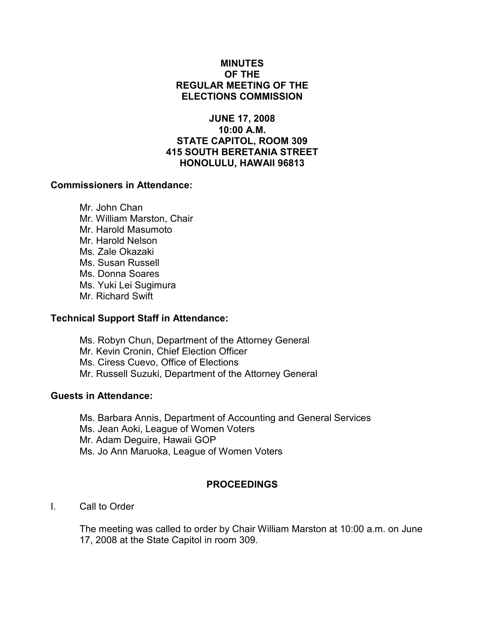## MINUTES OF THE REGULAR MEETING OF THE ELECTIONS COMMISSION

## JUNE 17, 2008 10:00 A.M. STATE CAPITOL, ROOM 309 415 SOUTH BERETANIA STREET HONOLULU, HAWAII 96813

### Commissioners in Attendance:

 Mr. John Chan Mr. William Marston, Chair Mr. Harold Masumoto Mr. Harold Nelson Ms. Zale Okazaki Ms. Susan Russell Ms. Donna Soares Ms. Yuki Lei Sugimura Mr. Richard Swift

#### Technical Support Staff in Attendance:

Ms. Robyn Chun, Department of the Attorney General Mr. Kevin Cronin, Chief Election Officer Ms. Ciress Cuevo, Office of Elections Mr. Russell Suzuki, Department of the Attorney General

#### Guests in Attendance:

Ms. Barbara Annis, Department of Accounting and General Services Ms. Jean Aoki, League of Women Voters Mr. Adam Deguire, Hawaii GOP Ms. Jo Ann Maruoka, League of Women Voters

#### PROCEEDINGS

## I. Call to Order

The meeting was called to order by Chair William Marston at 10:00 a.m. on June 17, 2008 at the State Capitol in room 309.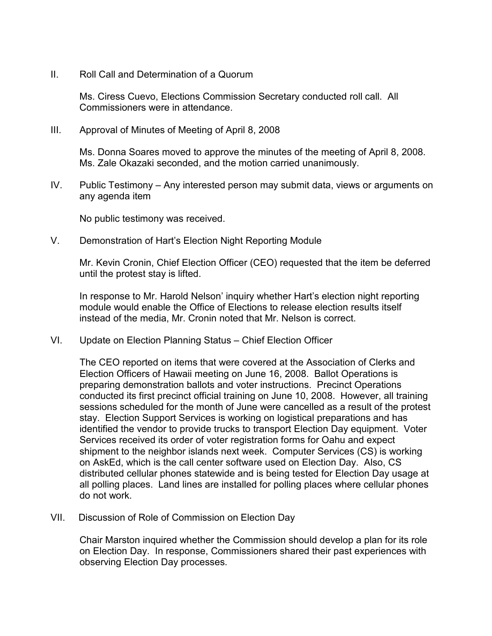II. Roll Call and Determination of a Quorum

Ms. Ciress Cuevo, Elections Commission Secretary conducted roll call. All Commissioners were in attendance.

III. Approval of Minutes of Meeting of April 8, 2008

Ms. Donna Soares moved to approve the minutes of the meeting of April 8, 2008. Ms. Zale Okazaki seconded, and the motion carried unanimously.

IV. Public Testimony – Any interested person may submit data, views or arguments on any agenda item

No public testimony was received.

V. Demonstration of Hart's Election Night Reporting Module

Mr. Kevin Cronin, Chief Election Officer (CEO) requested that the item be deferred until the protest stay is lifted.

In response to Mr. Harold Nelson' inquiry whether Hart's election night reporting module would enable the Office of Elections to release election results itself instead of the media, Mr. Cronin noted that Mr. Nelson is correct.

VI. Update on Election Planning Status – Chief Election Officer

The CEO reported on items that were covered at the Association of Clerks and Election Officers of Hawaii meeting on June 16, 2008. Ballot Operations is preparing demonstration ballots and voter instructions. Precinct Operations conducted its first precinct official training on June 10, 2008. However, all training sessions scheduled for the month of June were cancelled as a result of the protest stay. Election Support Services is working on logistical preparations and has identified the vendor to provide trucks to transport Election Day equipment. Voter Services received its order of voter registration forms for Oahu and expect shipment to the neighbor islands next week. Computer Services (CS) is working on AskEd, which is the call center software used on Election Day. Also, CS distributed cellular phones statewide and is being tested for Election Day usage at all polling places. Land lines are installed for polling places where cellular phones do not work.

VII. Discussion of Role of Commission on Election Day

 Chair Marston inquired whether the Commission should develop a plan for its role on Election Day. In response, Commissioners shared their past experiences with observing Election Day processes.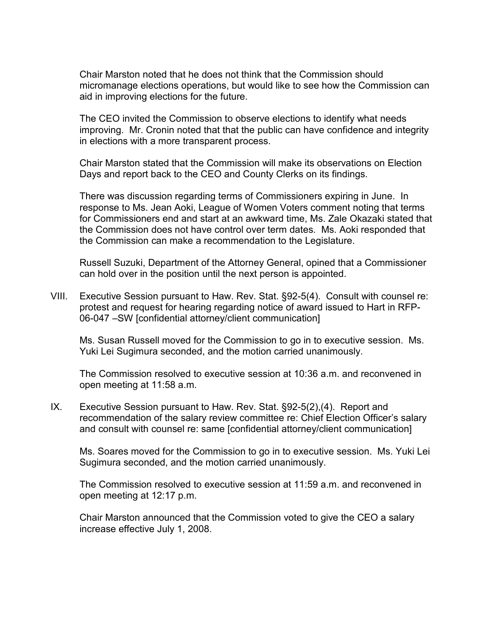Chair Marston noted that he does not think that the Commission should micromanage elections operations, but would like to see how the Commission can aid in improving elections for the future.

 The CEO invited the Commission to observe elections to identify what needs improving. Mr. Cronin noted that that the public can have confidence and integrity in elections with a more transparent process.

 Chair Marston stated that the Commission will make its observations on Election Days and report back to the CEO and County Clerks on its findings.

There was discussion regarding terms of Commissioners expiring in June. In response to Ms. Jean Aoki, League of Women Voters comment noting that terms for Commissioners end and start at an awkward time, Ms. Zale Okazaki stated that the Commission does not have control over term dates. Ms. Aoki responded that the Commission can make a recommendation to the Legislature.

Russell Suzuki, Department of the Attorney General, opined that a Commissioner can hold over in the position until the next person is appointed.

VIII. Executive Session pursuant to Haw. Rev. Stat. §92-5(4). Consult with counsel re: protest and request for hearing regarding notice of award issued to Hart in RFP-06-047 –SW [confidential attorney/client communication]

 Ms. Susan Russell moved for the Commission to go in to executive session. Ms. Yuki Lei Sugimura seconded, and the motion carried unanimously.

 The Commission resolved to executive session at 10:36 a.m. and reconvened in open meeting at 11:58 a.m.

IX. Executive Session pursuant to Haw. Rev. Stat. §92-5(2),(4). Report and recommendation of the salary review committee re: Chief Election Officer's salary and consult with counsel re: same [confidential attorney/client communication]

 Ms. Soares moved for the Commission to go in to executive session. Ms. Yuki Lei Sugimura seconded, and the motion carried unanimously.

The Commission resolved to executive session at 11:59 a.m. and reconvened in open meeting at 12:17 p.m.

 Chair Marston announced that the Commission voted to give the CEO a salary increase effective July 1, 2008.